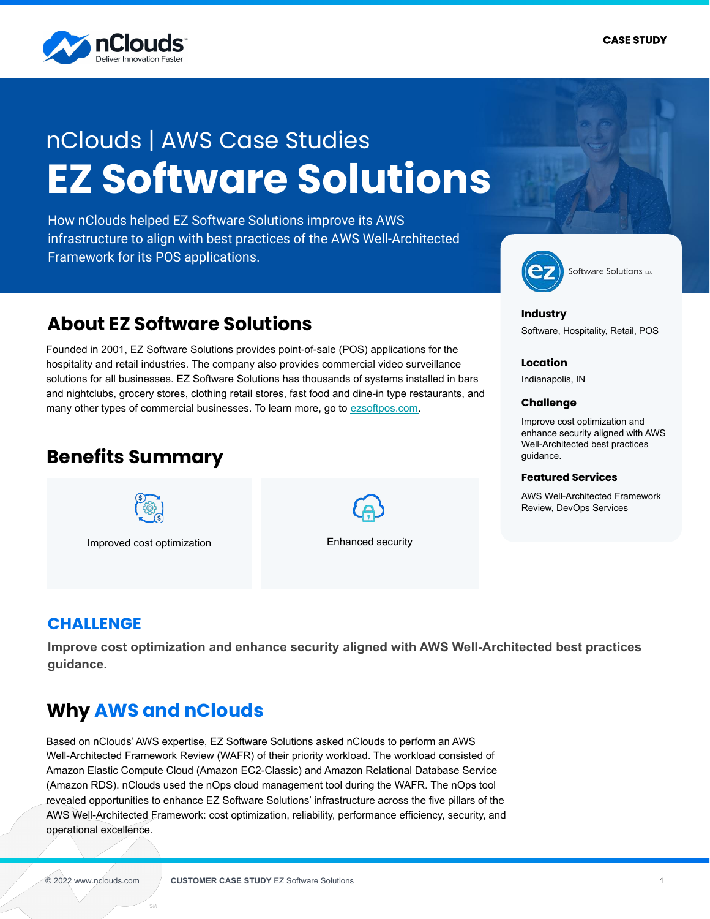

# **EZ Software Solutions** nClouds | AWS Case Studies

How nClouds helped EZ Software Solutions improve its AWS infrastructure to align with best practices of the AWS Well-Architected Framework for its POS applications.

## **About EZ Software Solutions**

Founded in 2001, EZ Software Solutions provides point-of-sale (POS) applications for the hospitality and retail industries. The company also provides commercial video surveillance solutions for all businesses. EZ Software Solutions has thousands of systems installed in bars and nightclubs, grocery stores, clothing retail stores, fast food and dine-in type restaurants, and many other types of commercial businesses. To learn more, go to [ezsoftpos.com.](https://ezsoftpos.com/)

### **Benefits Summary**



Improved cost optimization Enhanced security



Software Solutions u.c

#### **Industry**

Software, Hospitality, Retail, POS

#### **Location**

Indianapolis, IN

#### **Challenge**

Improve cost optimization and enhance security aligned with AWS Well-Architected best practices guidance.

#### **Featured Services**

AWS Well-Architected Framework Review, DevOps Services

### **CHALLENGE**

**Improve cost optimization and enhance security aligned with AWS Well-Architected best practices guidance.**

### **Why AWS and nClouds**

Based on nClouds' AWS expertise, EZ Software Solutions asked nClouds to perform an AWS Well-Architected Framework Review (WAFR) of their priority workload. The workload consisted of Amazon Elastic Compute Cloud (Amazon EC2-Classic) and Amazon Relational Database Service (Amazon RDS). nClouds used the nOps cloud management tool during the WAFR. The nOps tool revealed opportunities to enhance EZ Software Solutions' infrastructure across the five pillars of the AWS Well-Architected Framework: cost optimization, reliability, performance efficiency, security, and operational excellence.